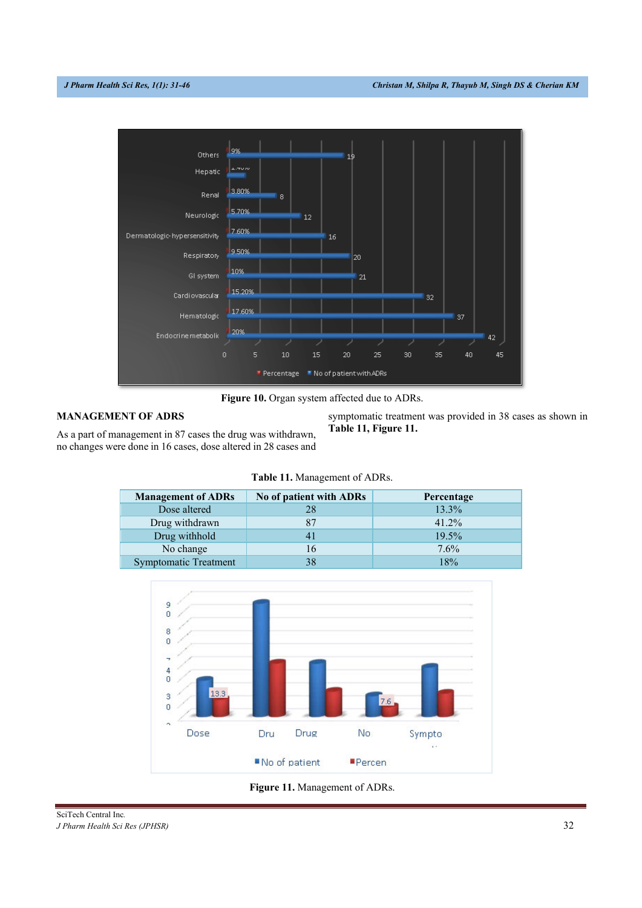

Figure 10. Organ system affected due to ADRs.

# **MANAGEMENT OF ADRS**

As a part of management in 87 cases the drug was withdrawn, no changes were done in 16 cases, dose altered in 28 cases and symptomatic treatment was provided in 38 cases as shown in **Table 11, Figure 11.**

|  |  | Table 11. Management of ADRs. |  |
|--|--|-------------------------------|--|
|--|--|-------------------------------|--|

| <b>Management of ADRs</b>    | No of patient with ADRs | Percentage |
|------------------------------|-------------------------|------------|
| Dose altered                 |                         | 13.3%      |
| Drug withdrawn               |                         | 41.2%      |
| Drug withhold                |                         | 19.5%      |
| No change                    | 16                      | 7.6%       |
| <b>Symptomatic Treatment</b> |                         | 18%        |



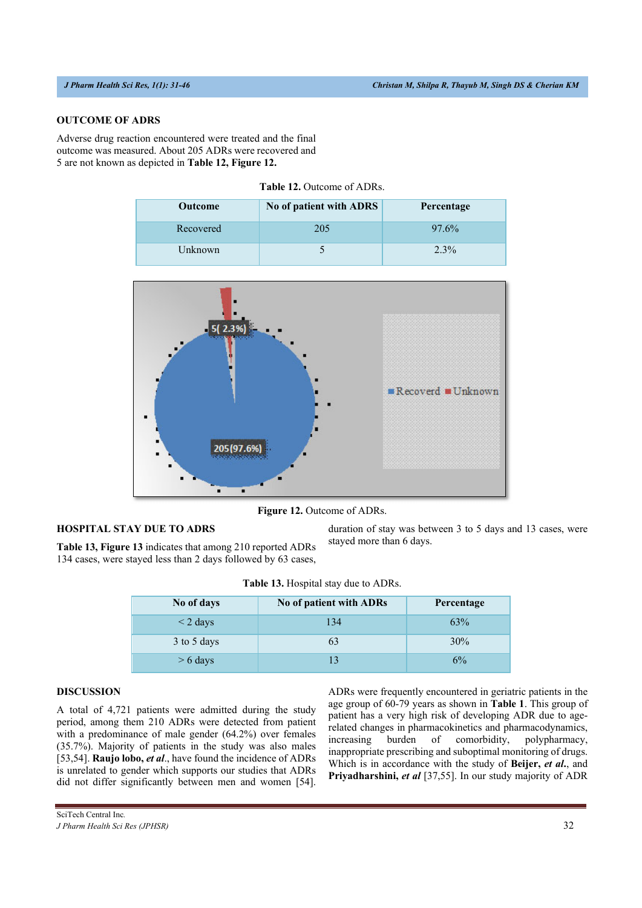# **OUTCOME OF ADRS**

Adverse drug reaction encountered were treated and the final outcome was measured. About 205 ADRs were recovered and 5 are not known as depicted in **Table 12, Figure 12.**

| <b>Outcome</b> | No of patient with ADRS | Percentage |
|----------------|-------------------------|------------|
| Recovered      | 205                     | 97.6%      |
| Unknown        |                         | $2.3\%$    |

**Table 12.** Outcome of ADRs.



**Figure 12.** Outcome of ADRs.

### **HOSPITAL STAY DUE TO ADRS**

**Table 13, Figure 13** indicates that among 210 reported ADRs 134 cases, were stayed less than 2 days followed by 63 cases, duration of stay was between 3 to 5 days and 13 cases, were stayed more than 6 days.

| No of days    | No of patient with ADRs | Percentage |
|---------------|-------------------------|------------|
| $\leq$ 2 days | 134                     | 63%        |
| 3 to 5 days   | 63                      | 30%        |
| $> 6$ days    | 13                      | 6%         |

## **DISCUSSION**

A total of 4,721 patients were admitted during the study period, among them 210 ADRs were detected from patient with a predominance of male gender (64.2%) over females (35.7%). Majority of patients in the study was also males [53,54]. **Raujo lobo,** *et al*., have found the incidence of ADRs is unrelated to gender which supports our studies that ADRs did not differ significantly between men and women [54]. ADRs were frequently encountered in geriatric patients in the age group of 60-79 years as shown in **Table 1**. This group of patient has a very high risk of developing ADR due to agerelated changes in pharmacokinetics and pharmacodynamics, increasing burden of comorbidity, polypharmacy, inappropriate prescribing and suboptimal monitoring of drugs. Which is in accordance with the study of **Beijer,** *et al***.**, and **Priyadharshini,** *et al* [37,55]. In our study majority of ADR

SciTech Central Inc*. J Pharm Health Sci Res (JPHSR)* 42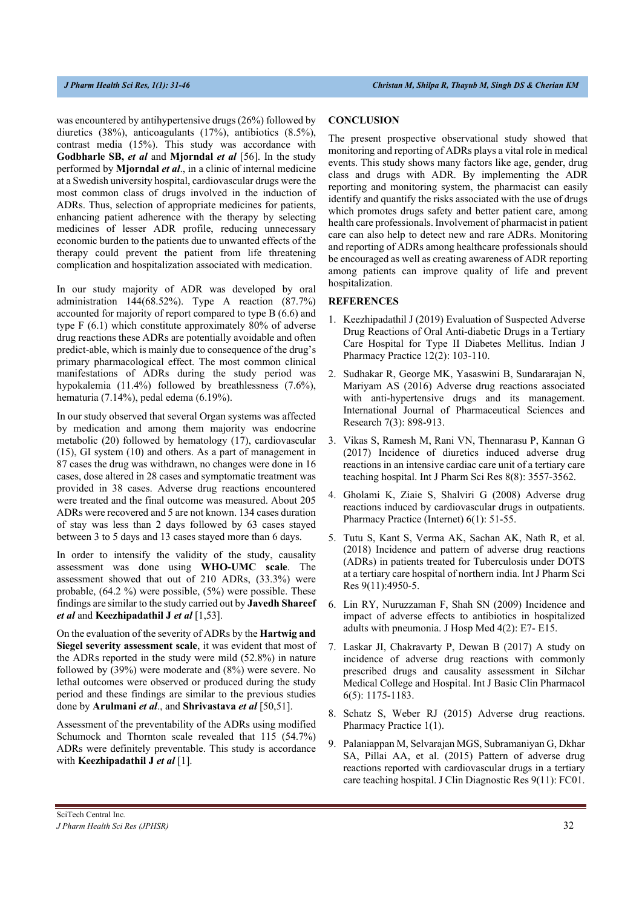was encountered by antihypertensive drugs (26%) followed by diuretics (38%), anticoagulants (17%), antibiotics (8.5%), contrast media (15%). This study was accordance with **Godbharle SB,** *et al* and **Mjorndal** *et al* [56]. In the study performed by **Mjorndal** *et al*., in a clinic of internal medicine at a Swedish university hospital, cardiovascular drugs were the most common class of drugs involved in the induction of ADRs. Thus, selection of appropriate medicines for patients, enhancing patient adherence with the therapy by selecting medicines of lesser ADR profile, reducing unnecessary economic burden to the patients due to unwanted effects of the therapy could prevent the patient from life threatening complication and hospitalization associated with medication.

In our study majority of ADR was developed by oral administration 144(68.52%). Type A reaction (87.7%) accounted for majority of report compared to type B (6.6) and type F (6.1) which constitute approximately 80% of adverse drug reactions these ADRs are potentially avoidable and often predict-able, which is mainly due to consequence of the drug's primary pharmacological effect. The most common clinical manifestations of ADRs during the study period was hypokalemia (11.4%) followed by breathlessness (7.6%), hematuria (7.14%), pedal edema (6.19%).

In our study observed that several Organ systems was affected by medication and among them majority was endocrine metabolic (20) followed by hematology (17), cardiovascular (15), GI system (10) and others. As a part of management in 87 cases the drug was withdrawn, no changes were done in 16 cases, dose altered in 28 cases and symptomatic treatment was provided in 38 cases. Adverse drug reactions encountered were treated and the final outcome was measured. About 205 ADRs were recovered and 5 are not known. 134 cases duration of stay was less than 2 days followed by 63 cases stayed between 3 to 5 days and 13 cases stayed more than 6 days.

In order to intensify the validity of the study, causality assessment was done using **WHO-UMC scale**. The assessment showed that out of 210 ADRs, (33.3%) were probable, (64.2 %) were possible, (5%) were possible. These findings are similar to the study carried out by **Javedh Shareef**  *et al* and **Keezhipadathil J** *et al* [1,53].

On the evaluation of the severity of ADRs by the **Hartwig and Siegel severity assessment scale**, it was evident that most of the ADRs reported in the study were mild (52.8%) in nature followed by (39%) were moderate and (8%) were severe. No lethal outcomes were observed or produced during the study period and these findings are similar to the previous studies done by **Arulmani** *et al*., and **Shrivastava** *et al* [50,51].

Assessment of the preventability of the ADRs using modified Schumock and Thornton scale revealed that 115 (54.7%) ADRs were definitely preventable. This study is accordance with **Keezhipadathil J** *et al* [1].

#### **CONCLUSION**

The present prospective observational study showed that monitoring and reporting of ADRs plays a vital role in medical events. This study shows many factors like age, gender, drug class and drugs with ADR. By implementing the ADR reporting and monitoring system, the pharmacist can easily identify and quantify the risks associated with the use of drugs which promotes drugs safety and better patient care, among health care professionals. Involvement of pharmacist in patient care can also help to detect new and rare ADRs. Monitoring and reporting of ADRs among healthcare professionals should be encouraged as well as creating awareness of ADR reporting among patients can improve quality of life and prevent hospitalization.

#### **REFERENCES**

- 1. Keezhipadathil J (2019) Evaluation of Suspected Adverse Drug Reactions of Oral Anti-diabetic Drugs in a Tertiary Care Hospital for Type II Diabetes Mellitus. Indian J Pharmacy Practice 12(2): 103-110.
- 2. Sudhakar R, George MK, Yasaswini B, Sundararajan N, Mariyam AS (2016) Adverse drug reactions associated with anti-hypertensive drugs and its management. International Journal of Pharmaceutical Sciences and Research 7(3): 898-913.
- 3. Vikas S, Ramesh M, Rani VN, Thennarasu P, Kannan G (2017) Incidence of diuretics induced adverse drug reactions in an intensive cardiac care unit of a tertiary care teaching hospital. Int J Pharm Sci Res 8(8): 3557-3562.
- 4. Gholami K, Ziaie S, Shalviri G (2008) Adverse drug reactions induced by cardiovascular drugs in outpatients. Pharmacy Practice (Internet) 6(1): 51-55.
- 5. Tutu S, Kant S, Verma AK, Sachan AK, Nath R, et al. (2018) Incidence and pattern of adverse drug reactions (ADRs) in patients treated for Tuberculosis under DOTS at a tertiary care hospital of northern india. Int J Pharm Sci Res 9(11):4950-5.
- 6. Lin RY, Nuruzzaman F, Shah SN (2009) Incidence and impact of adverse effects to antibiotics in hospitalized adults with pneumonia. J Hosp Med 4(2): E7- E15.
- 7. Laskar JI, Chakravarty P, Dewan B (2017) A study on incidence of adverse drug reactions with commonly prescribed drugs and causality assessment in Silchar Medical College and Hospital. Int J Basic Clin Pharmacol 6(5): 1175-1183.
- 8. Schatz S, Weber RJ (2015) Adverse drug reactions. Pharmacy Practice 1(1).
- 9. Palaniappan M, Selvarajan MGS, Subramaniyan G, Dkhar SA, Pillai AA, et al. (2015) Pattern of adverse drug reactions reported with cardiovascular drugs in a tertiary care teaching hospital. J Clin Diagnostic Res 9(11): FC01.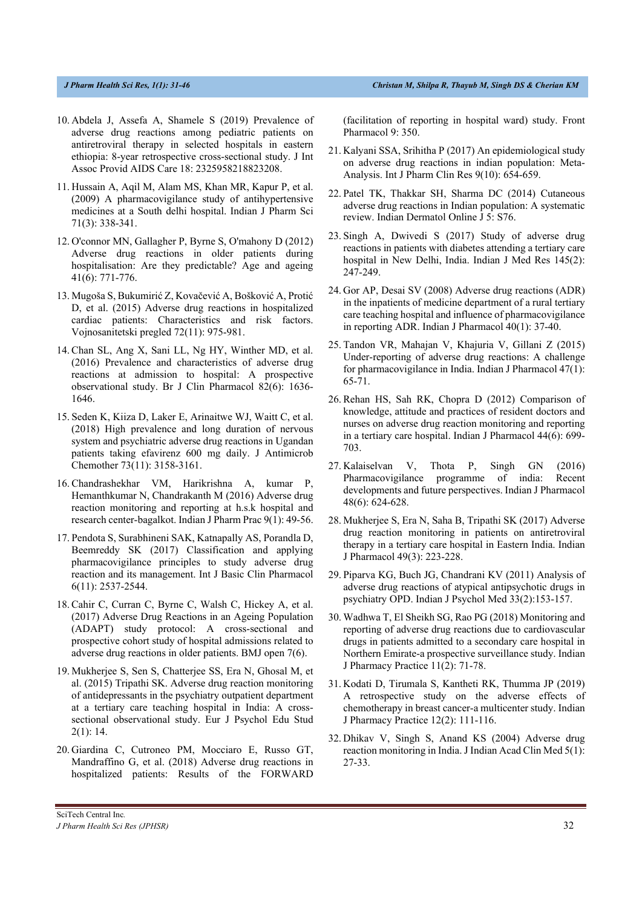- 10. Abdela J, Assefa A, Shamele S (2019) Prevalence of adverse drug reactions among pediatric patients on antiretroviral therapy in selected hospitals in eastern ethiopia: 8-year retrospective cross-sectional study. J Int Assoc Provid AIDS Care 18: 2325958218823208.
- 11. Hussain A, Aqil M, Alam MS, Khan MR, Kapur P, et al. (2009) A pharmacovigilance study of antihypertensive medicines at a South delhi hospital. Indian J Pharm Sci 71(3): 338-341.
- 12. O'connor MN, Gallagher P, Byrne S, O'mahony D (2012) Adverse drug reactions in older patients during hospitalisation: Are they predictable? Age and ageing 41(6): 771-776.
- 13. Mugoša S, Bukumirić Z, Kovačević A, Bošković A, Protić D, et al. (2015) Adverse drug reactions in hospitalized cardiac patients: Characteristics and risk factors. Vojnosanitetski pregled 72(11): 975-981.
- 14. Chan SL, Ang X, Sani LL, Ng HY, Winther MD, et al. (2016) Prevalence and characteristics of adverse drug reactions at admission to hospital: A prospective observational study. Br J Clin Pharmacol 82(6): 1636- 1646.
- 15. Seden K, Kiiza D, Laker E, Arinaitwe WJ, Waitt C, et al. (2018) High prevalence and long duration of nervous system and psychiatric adverse drug reactions in Ugandan patients taking efavirenz 600 mg daily. J Antimicrob Chemother 73(11): 3158-3161.
- 16. Chandrashekhar VM, Harikrishna A, kumar P, Hemanthkumar N, Chandrakanth M (2016) Adverse drug reaction monitoring and reporting at h.s.k hospital and research center-bagalkot. Indian J Pharm Prac 9(1): 49-56.
- 17. Pendota S, Surabhineni SAK, Katnapally AS, Porandla D, Beemreddy SK (2017) Classification and applying pharmacovigilance principles to study adverse drug reaction and its management. Int J Basic Clin Pharmacol 6(11): 2537-2544.
- 18. Cahir C, Curran C, Byrne C, Walsh C, Hickey A, et al. (2017) Adverse Drug Reactions in an Ageing Population (ADAPT) study protocol: A cross-sectional and prospective cohort study of hospital admissions related to adverse drug reactions in older patients. BMJ open 7(6).
- 19. Mukherjee S, Sen S, Chatterjee SS, Era N, Ghosal M, et al. (2015) Tripathi SK. Adverse drug reaction monitoring of antidepressants in the psychiatry outpatient department at a tertiary care teaching hospital in India: A crosssectional observational study. Eur J Psychol Edu Stud 2(1): 14.
- 20. Giardina C, Cutroneo PM, Mocciaro E, Russo GT, Mandraffino G, et al. (2018) Adverse drug reactions in hospitalized patients: Results of the FORWARD

(facilitation of reporting in hospital ward) study. Front Pharmacol 9: 350.

- 21. Kalyani SSA, Srihitha P (2017) An epidemiological study on adverse drug reactions in indian population: Meta-Analysis. Int J Pharm Clin Res 9(10): 654-659.
- 22. Patel TK, Thakkar SH, Sharma DC (2014) Cutaneous adverse drug reactions in Indian population: A systematic review. Indian Dermatol Online J 5: S76.
- 23. Singh A, Dwivedi S (2017) Study of adverse drug reactions in patients with diabetes attending a tertiary care hospital in New Delhi, India. Indian J Med Res 145(2): 247-249.
- 24. Gor AP, Desai SV (2008) Adverse drug reactions (ADR) in the inpatients of medicine department of a rural tertiary care teaching hospital and influence of pharmacovigilance in reporting ADR. Indian J Pharmacol 40(1): 37-40.
- 25. Tandon VR, Mahajan V, Khajuria V, Gillani Z (2015) Under-reporting of adverse drug reactions: A challenge for pharmacovigilance in India. Indian J Pharmacol 47(1): 65-71.
- 26. Rehan HS, Sah RK, Chopra D (2012) Comparison of knowledge, attitude and practices of resident doctors and nurses on adverse drug reaction monitoring and reporting in a tertiary care hospital. Indian J Pharmacol 44(6): 699- 703.
- 27. Kalaiselvan V, Thota P, Singh GN (2016) Pharmacovigilance programme of india: Recent developments and future perspectives. Indian J Pharmacol 48(6): 624-628.
- 28. Mukherjee S, Era N, Saha B, Tripathi SK (2017) Adverse drug reaction monitoring in patients on antiretroviral therapy in a tertiary care hospital in Eastern India. Indian J Pharmacol 49(3): 223-228.
- 29. Piparva KG, Buch JG, Chandrani KV (2011) Analysis of adverse drug reactions of atypical antipsychotic drugs in psychiatry OPD. Indian J Psychol Med 33(2):153-157.
- 30. Wadhwa T, El Sheikh SG, Rao PG (2018) Monitoring and reporting of adverse drug reactions due to cardiovascular drugs in patients admitted to a secondary care hospital in Northern Emirate-a prospective surveillance study. Indian J Pharmacy Practice 11(2): 71-78.
- 31. Kodati D, Tirumala S, Kantheti RK, Thumma JP (2019) A retrospective study on the adverse effects of chemotherapy in breast cancer-a multicenter study. Indian J Pharmacy Practice 12(2): 111-116.
- 32. Dhikav V, Singh S, Anand KS (2004) Adverse drug reaction monitoring in India. J Indian Acad Clin Med 5(1): 27-33.